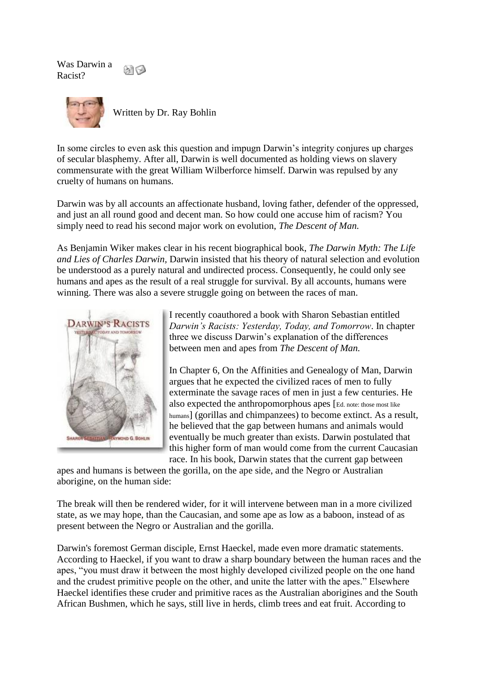Was Darwin a 8169 Racist?



Written by Dr. Ray Bohlin

In some circles to even ask this question and impugn Darwin's integrity conjures up charges of secular blasphemy. After all, Darwin is well documented as holding views on slavery commensurate with the great William Wilberforce himself. Darwin was repulsed by any cruelty of humans on humans.

Darwin was by all accounts an affectionate husband, loving father, defender of the oppressed, and just an all round good and decent man. So how could one accuse him of racism? You simply need to read his second major work on evolution, *The Descent of Man.*

As Benjamin Wiker makes clear in his recent biographical book, *The Darwin Myth: The Life and Lies of Charles Darwin,* Darwin insisted that his theory of natural selection and evolution be understood as a purely natural and undirected process. Consequently, he could only see humans and apes as the result of a real struggle for survival. By all accounts, humans were winning. There was also a severe struggle going on between the races of man.



I recently coauthored a book with Sharon Sebastian entitled *Darwin's Racists: Yesterday, Today, and Tomorrow*. In chapter three we discuss Darwin's explanation of the differences between men and apes from *The Descent of Man.*

In Chapter 6, On the Affinities and Genealogy of Man, Darwin argues that he expected the civilized races of men to fully exterminate the savage races of men in just a few centuries. He also expected the anthropomorphous apes [Ed. note: those most like humans] (gorillas and chimpanzees) to become extinct. As a result, he believed that the gap between humans and animals would eventually be much greater than exists. Darwin postulated that this higher form of man would come from the current Caucasian race. In his book, Darwin states that the current gap between

apes and humans is between the gorilla, on the ape side, and the Negro or Australian aborigine, on the human side:

The break will then be rendered wider, for it will intervene between man in a more civilized state, as we may hope, than the Caucasian, and some ape as low as a baboon, instead of as present between the Negro or Australian and the gorilla.

Darwin's foremost German disciple, Ernst Haeckel, made even more dramatic statements. According to Haeckel, if you want to draw a sharp boundary between the human races and the apes, "you must draw it between the most highly developed civilized people on the one hand and the crudest primitive people on the other, and unite the latter with the apes." Elsewhere Haeckel identifies these cruder and primitive races as the Australian aborigines and the South African Bushmen, which he says, still live in herds, climb trees and eat fruit. According to